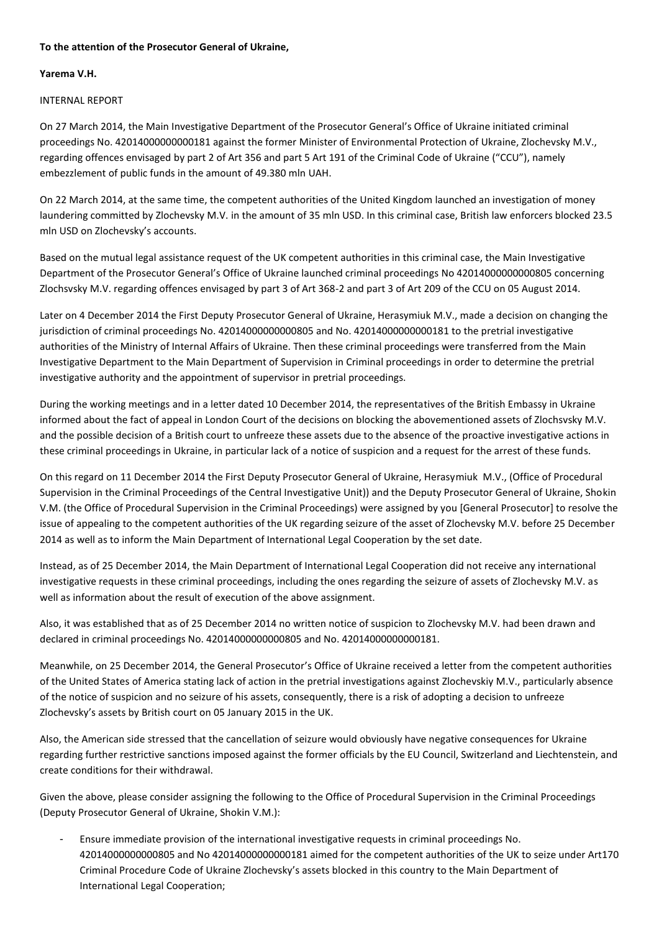## **To the attention of the Prosecutor General of Ukraine,**

## **Yarema V.H.**

## INTERNAL REPORT

On 27 March 2014, the Main Investigative Department of the Prosecutor General's Office of Ukraine initiated criminal proceedings No. 42014000000000181 against the former Minister of Environmental Protection of Ukraine, Zlochevsky M.V., regarding offences envisaged by part 2 of Art 356 and part 5 Art 191 of the Criminal Code of Ukraine ("CCU"), namely embezzlement of public funds in the amount of 49.380 mln UAH.

On 22 March 2014, at the same time, the competent authorities of the United Kingdom launched an investigation of money laundering committed by Zlochevsky M.V. in the amount of 35 mln USD. In this criminal case, British law enforcers blocked 23.5 mln USD on Zlochevsky's accounts.

Based on the mutual legal assistance request of the UK competent authorities in this criminal case, the Main Investigative Department of the Prosecutor General's Office of Ukraine launched criminal proceedings No 42014000000000805 concerning Zlochsvsky M.V. regarding offences envisaged by part 3 of Art 368-2 and part 3 of Art 209 of the CCU on 05 August 2014.

Later on 4 December 2014 the First Deputy Prosecutor General of Ukraine, Herasymiuk M.V., made a decision on changing the jurisdiction of criminal proceedings No. 42014000000000805 and No. 42014000000000181 to the pretrial investigative authorities of the Ministry of Internal Affairs of Ukraine. Then these criminal proceedings were transferred from the Main Investigative Department to the Main Department of Supervision in Criminal proceedings in order to determine the pretrial investigative authority and the appointment of supervisor in pretrial proceedings.

During the working meetings and in a letter dated 10 December 2014, the representatives of the British Embassy in Ukraine informed about the fact of appeal in London Court of the decisions on blocking the abovementioned assets of Zlochsvsky M.V. and the possible decision of a British court to unfreeze these assets due to the absence of the proactive investigative actions in these criminal proceedings in Ukraine, in particular lack of a notice of suspicion and a request for the arrest of these funds.

On this regard on 11 December 2014 the First Deputy Prosecutor General of Ukraine, Herasymiuk M.V., (Office of Procedural Supervision in the Criminal Proceedings of the Central Investigative Unit)) and the Deputy Prosecutor General of Ukraine, Shokin V.M. (the Office of Procedural Supervision in the Criminal Proceedings) were assigned by you [General Prosecutor] to resolve the issue of appealing to the competent authorities of the UK regarding seizure of the asset of Zlochevsky M.V. before 25 December 2014 as well as to inform the Main Department of International Legal Cooperation by the set date.

Instead, as of 25 December 2014, the Main Department of International Legal Cooperation did not receive any international investigative requests in these criminal proceedings, including the ones regarding the seizure of assets of Zlochevsky M.V. as well as information about the result of execution of the above assignment.

Also, it was established that as of 25 December 2014 no written notice of suspicion to Zlochevsky M.V. had been drawn and declared in criminal proceedings No. 42014000000000805 and No. 42014000000000181.

Meanwhile, on 25 December 2014, the General Prosecutor's Office of Ukraine received a letter from the competent authorities of the United States of America stating lack of action in the pretrial investigations against Zlochevskiy M.V., particularly absence of the notice of suspicion and no seizure of his assets, consequently, there is a risk of adopting a decision to unfreeze Zlochevsky's assets by British court on 05 January 2015 in the UK.

Also, the American side stressed that the cancellation of seizure would obviously have negative consequences for Ukraine regarding further restrictive sanctions imposed against the former officials by the EU Council, Switzerland and Liechtenstein, and create conditions for their withdrawal.

Given the above, please consider assigning the following to the Office of Procedural Supervision in the Criminal Proceedings (Deputy Prosecutor General of Ukraine, Shokin V.M.):

- Ensure immediate provision of the international investigative requests in criminal proceedings No. 42014000000000805 and No 42014000000000181 aimed for the competent authorities of the UK to seize under Art170 Criminal Procedure Code of Ukraine Zlochevsky's assets blocked in this country to the Main Department of International Legal Cooperation;